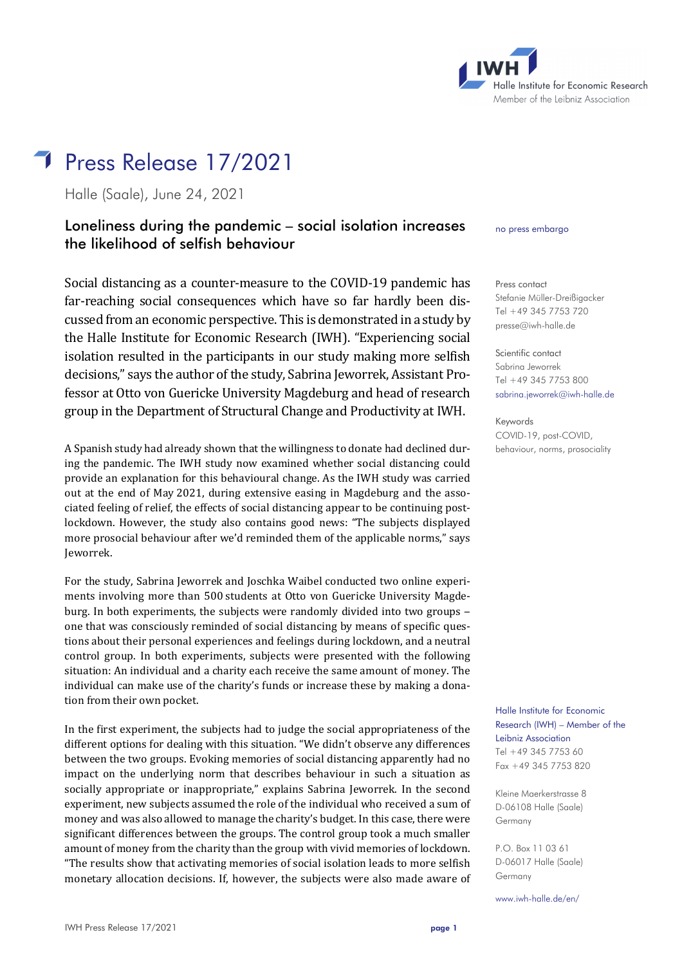

# Press Release 17/2021

Halle (Saale), June 24, 2021

# Loneliness during the pandemic – social isolation increases the likelihood of selfish behaviour

Social distancing as a counter-measure to the COVID-19 pandemic has far-reaching social consequences which have so far hardly been discussed from an economic perspective. This is demonstrated in a study by the Halle Institute for Economic Research (IWH). "Experiencing social isolation resulted in the participants in our study making more selfish decisions," says the author of the study, Sabrina Jeworrek, Assistant Professor at Otto von Guericke University Magdeburg and head of research group in the Department of Structural Change and Productivity at IWH.

A Spanish study had already shown that the willingness to donate had declined during the pandemic. The IWH study now examined whether social distancing could provide an explanation for this behavioural change. As the IWH study was carried out at the end of May 2021, during extensive easing in Magdeburg and the associated feeling of relief, the effects of social distancing appear to be continuing postlockdown. However, the study also contains good news: "The subjects displayed more prosocial behaviour after we'd reminded them of the applicable norms," says Jeworrek.

For the study, Sabrina Jeworrek and Joschka Waibel conducted two online experiments involving more than 500 students at Otto von Guericke University Magdeburg. In both experiments, the subjects were randomly divided into two groups – one that was consciously reminded of social distancing by means of specific questions about their personal experiences and feelings during lockdown, and a neutral control group. In both experiments, subjects were presented with the following situation: An individual and a charity each receive the same amount of money. The individual can make use of the charity's funds or increase these by making a donation from their own pocket.

In the first experiment, the subjects had to judge the social appropriateness of the different options for dealing with this situation. "We didn't observe any differences between the two groups. Evoking memories of social distancing apparently had no impact on the underlying norm that describes behaviour in such a situation as socially appropriate or inappropriate," explains Sabrina Jeworrek. In the second experiment, new subjects assumed the role of the individual who received a sum of money and was also allowed to manage the charity's budget. In this case, there were significant differences between the groups. The control group took a much smaller amount of money from the charity than the group with vivid memories of lockdown. "The results show that activating memories of social isolation leads to more selfish monetary allocation decisions. If, however, the subjects were also made aware of no press embargo

Press contact Stefanie Müller-Dreißigacker Tel +49 345 7753 720 [presse@iwh-halle.de](mailto:presse@iwh-halle.de)

Scientific contact Sabrina Jeworrek Tel +49 345 7753 800 [sabrina.jeworrek@iwh-halle.de](mailto:sabrina.jeworrek@iwh-halle.de)

Keywords COVID-19, post-COVID, behaviour, norms, prosociality

Halle Institute for Economic Research (IWH) – Member of the Leibniz Association Tel +49 345 7753 60 Fax +49 345 7753 820

Kleine Maerkerstrasse 8 D-06108 Halle (Saale) Germany

P.O. Box 11 03 61 D-06017 Halle (Saale) Germany

[www.iwh-halle.de/en/](file://iwht/Technik/oeff/IDE/Pressemitteilungen%20etc/Pressemitteilungen/2019/www.iwh-halle.de/en/)